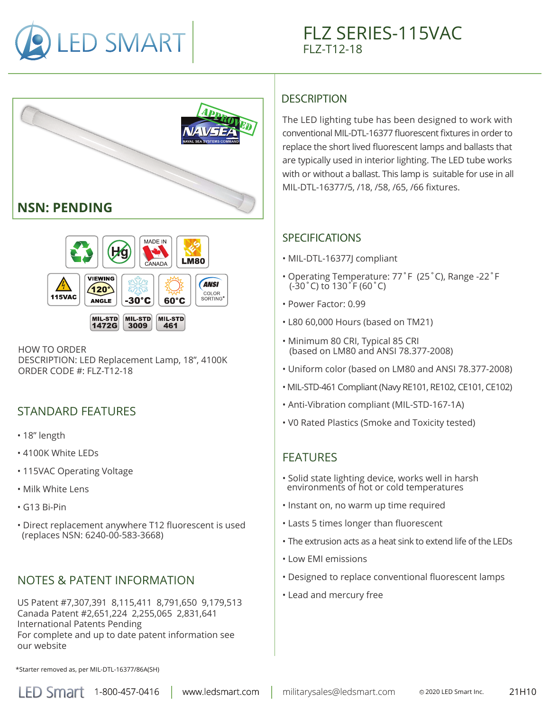





HOW TO ORDER DESCRIPTION: LED Replacement Lamp, 18", 4100K ORDER CODE #: FLZ-T12-18

# STANDARD FEATURES

- 18" length
- 4100K White LEDs
- 115VAC Operating Voltage
- Milk White Lens
- G13 Bi-Pin
- Direct replacement anywhere T12 fluorescent is used (replaces NSN: 6240-00-583-3668)

# NOTES & PATENT INFORMATION

US Patent #7,307,391 8,115,411 8,791,650 9,179,513 Canada Patent #2,651,224 2,255,065 2,831,641 International Patents Pending For complete and up to date patent information see our website

# **DESCRIPTION**

The LED lighting tube has been designed to work with conventional MIL-DTL-16377 fluorescent fixtures in order to replace the short lived fluorescent lamps and ballasts that are typically used in interior lighting. The LED tube works with or without a ballast. This lamp is suitable for use in all MIL-DTL-16377/5, /18, /58, /65, /66 fixtures.

#### SPECIFICATIONS

- MIL-DTL-16377J compliant
- Operating Temperature: 77˚F (25˚C), Range -22˚F (-30˚C) to 130˚F (60˚C)
- Power Factor: 0.99
- L80 60,000 Hours (based on TM21)
- Minimum 80 CRI, Typical 85 CRI (based on LM80 and ANSI 78.377-2008)
- Uniform color (based on LM80 and ANSI 78.377-2008)
- MIL-STD-461 Compliant (Navy RE101, RE102, CE101, CE102)
- Anti-Vibration compliant (MIL-STD-167-1A)
- V0 Rated Plastics (Smoke and Toxicity tested)

### FEATURES

- Solid state lighting device, works well in harsh environments of hot or cold temperatures
- Instant on, no warm up time required
- Lasts 5 times longer than fluorescent
- The extrusion acts as a heat sink to extend life of the LEDs
- Low EMI emissions
- Designed to replace conventional fluorescent lamps
- Lead and mercury free

\*Starter removed as, per MIL-DTL-16377/86A(SH)

www.ledsmart.com

LED Smart 1-800-457-0416 | www.ledsmart.com | militarysales@ledsmart.com © 2020 LED Smart Inc.